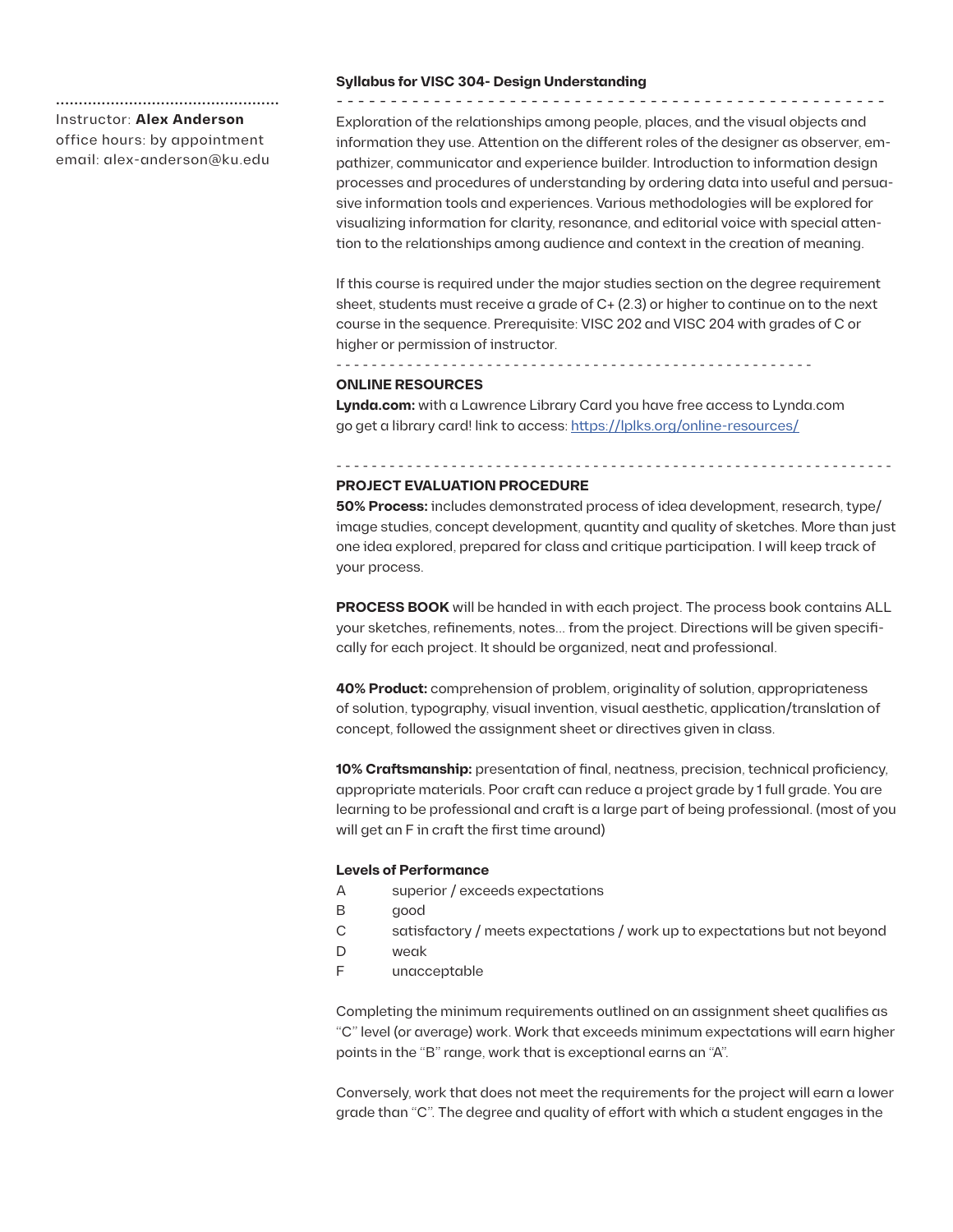# **.................................................** Instructor: **Alex Anderson** office hours: by appointment email: alex-anderson@ku.edu

#### **Syllabus for VISC 304- Design Understanding** - - - - - - - - - - - - - - - - - - - - - - - - - - - - - - - - - - - - - - - - - - - - - - - - - - -

Exploration of the relationships among people, places, and the visual objects and information they use. Attention on the different roles of the designer as observer, empathizer, communicator and experience builder. Introduction to information design processes and procedures of understanding by ordering data into useful and persuasive information tools and experiences. Various methodologies will be explored for visualizing information for clarity, resonance, and editorial voice with special attention to the relationships among audience and context in the creation of meaning.

If this course is required under the major studies section on the degree requirement sheet, students must receive a grade of C+ (2.3) or higher to continue on to the next course in the sequence. Prerequisite: VISC 202 and VISC 204 with grades of C or higher or permission of instructor.

## **ONLINE RESOURCES**

**Lynda.com:** with a Lawrence Library Card you have free access to Lynda.com go get a library card! link to access: https://lplks.org/online-resources/

- - - - - - - - - - - - - - - - - - - - - - - - - - - - - - - - - - - - - - - - - - - - - - - - - - - - - -

## **PROJECT EVALUATION PROCEDURE**

**50% Process:** includes demonstrated process of idea development, research, type/ image studies, concept development, quantity and quality of sketches. More than just one idea explored, prepared for class and critique participation. I will keep track of your process.

- - - - - - - - - - - - - - - - - - - - - - - - - - - - - - - - - - - - - - - - - - - - - - - - - - - - - - - - - - - - - - -

**PROCESS BOOK** will be handed in with each project. The process book contains ALL your sketches, refinements, notes... from the project. Directions will be given specifically for each project. It should be organized, neat and professional.

**40% Product:** comprehension of problem, originality of solution, appropriateness of solution, typography, visual invention, visual aesthetic, application/translation of concept, followed the assignment sheet or directives given in class.

**10% Craftsmanship:** presentation of final, neatness, precision, technical proficiency, appropriate materials. Poor craft can reduce a project grade by 1 full grade. You are learning to be professional and craft is a large part of being professional. (most of you will get an F in craft the first time around)

# **Levels of Performance**

- A superior / exceeds expectations
- B good
- C satisfactory / meets expectations / work up to expectations but not beyond
- D weak
- F unacceptable

Completing the minimum requirements outlined on an assignment sheet qualifies as "C" level (or average) work. Work that exceeds minimum expectations will earn higher points in the "B" range, work that is exceptional earns an "A".

Conversely, work that does not meet the requirements for the project will earn a lower grade than "C". The degree and quality of effort with which a student engages in the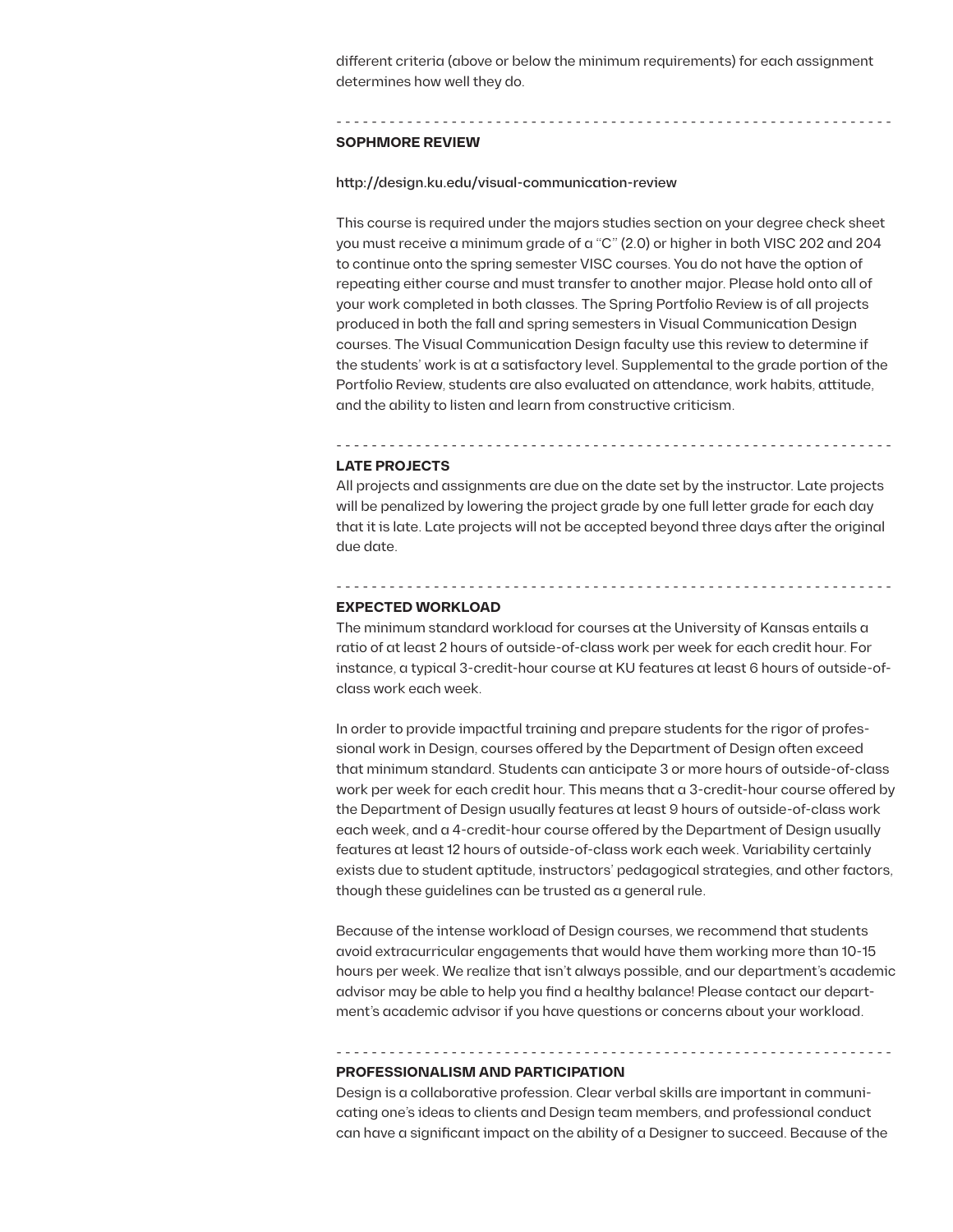different criteria (above or below the minimum requirements) for each assignment determines how well they do.

- - - - - - - - - - - - - - - - - - - - - - - - - - - - - - - - - - - - - - - - - - - - - - - - - - - - - - - - - - - - - - -

## **SOPHMORE REVIEW**

## http://design.ku.edu/visual-communication-review

This course is required under the majors studies section on your degree check sheet you must receive a minimum grade of a "C" (2.0) or higher in both VISC 202 and 204 to continue onto the spring semester VISC courses. You do not have the option of repeating either course and must transfer to another major. Please hold onto all of your work completed in both classes. The Spring Portfolio Review is of all projects produced in both the fall and spring semesters in Visual Communication Design courses. The Visual Communication Design faculty use this review to determine if the students' work is at a satisfactory level. Supplemental to the grade portion of the Portfolio Review, students are also evaluated on attendance, work habits, attitude, and the ability to listen and learn from constructive criticism.

## **LATE PROJECTS**

All projects and assignments are due on the date set by the instructor. Late projects will be penalized by lowering the project grade by one full letter grade for each day that it is late. Late projects will not be accepted beyond three days after the original due date.

- - - - - - - - - - - - - - - - - - - - - - - - - - - - - - - - - - - - - - - - - - - - - - - - - - - - - - - - - - - - - - -

- - - - - - - - - - - - - - - - - - - - - - - - - - - - - - - - - - - - - - - - - - - - - - - - - - - - - - - - - - - - - - -

### **EXPECTED WORKLOAD**

The minimum standard workload for courses at the University of Kansas entails a ratio of at least 2 hours of outside-of-class work per week for each credit hour. For instance, a typical 3-credit-hour course at KU features at least 6 hours of outside-ofclass work each week.

In order to provide impactful training and prepare students for the rigor of professional work in Design, courses offered by the Department of Design often exceed that minimum standard. Students can anticipate 3 or more hours of outside-of-class work per week for each credit hour. This means that a 3-credit-hour course offered by the Department of Design usually features at least 9 hours of outside-of-class work each week, and a 4-credit-hour course offered by the Department of Design usually features at least 12 hours of outside-of-class work each week. Variability certainly exists due to student aptitude, instructors' pedagogical strategies, and other factors, though these guidelines can be trusted as a general rule.

Because of the intense workload of Design courses, we recommend that students avoid extracurricular engagements that would have them working more than 10-15 hours per week. We realize that isn't always possible, and our department's academic advisor may be able to help you find a healthy balance! Please contact our department's academic advisor if you have questions or concerns about your workload.

# - - - - - - - - - - - - - - - - - - - - - - - - - - - - - - - - - - - - - - - - - - - - - - - - - - - - - - - - - - - - - - - **PROFESSIONALISM AND PARTICIPATION**

Design is a collaborative profession. Clear verbal skills are important in communicating one's ideas to clients and Design team members, and professional conduct can have a significant impact on the ability of a Designer to succeed. Because of the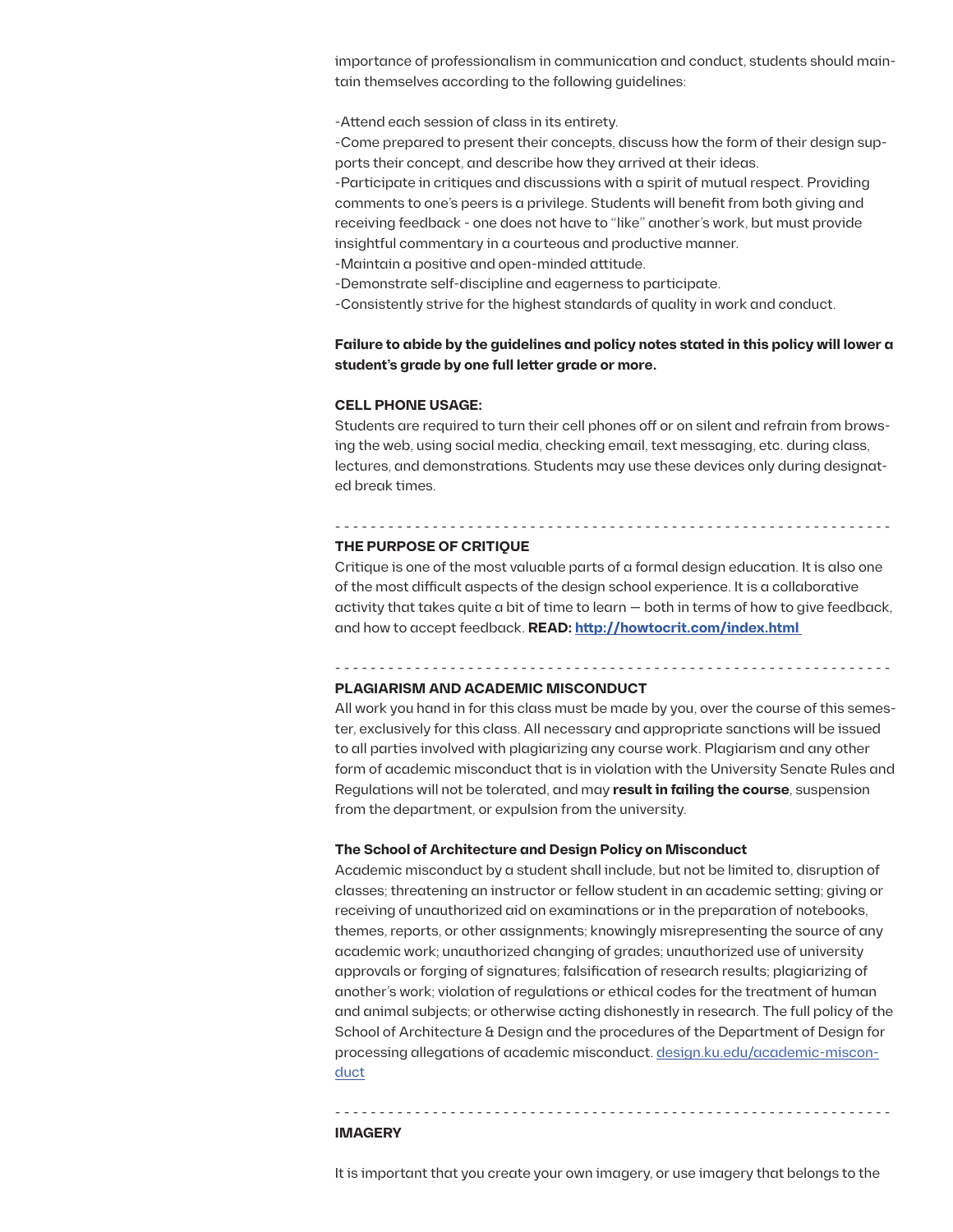importance of professionalism in communication and conduct, students should maintain themselves according to the following guidelines:

-Attend each session of class in its entirety.

-Come prepared to present their concepts, discuss how the form of their design supports their concept, and describe how they arrived at their ideas.

-Participate in critiques and discussions with a spirit of mutual respect. Providing comments to one's peers is a privilege. Students will benefit from both giving and receiving feedback - one does not have to "like" another's work, but must provide insightful commentary in a courteous and productive manner.

-Maintain a positive and open-minded attitude.

-Demonstrate self-discipline and eagerness to participate.

-Consistently strive for the highest standards of quality in work and conduct.

# **Failure to abide by the guidelines and policy notes stated in this policy will lower a student's grade by one full letter grade or more.**

### **CELL PHONE USAGE:**

Students are required to turn their cell phones off or on silent and refrain from browsing the web, using social media, checking email, text messaging, etc. during class, lectures, and demonstrations. Students may use these devices only during designated break times.

- - - - - - - - - - - - - - - - - - - - - - - - - - - - - - - - - - - - - - - - - - - - - - - - - - - - - - - - - - - - - - -

#### **THE PURPOSE OF CRITIQUE**

Critique is one of the most valuable parts of a formal design education. It is also one of the most difficult aspects of the design school experience. It is a collaborative activity that takes quite a bit of time to learn — both in terms of how to give feedback, and how to accept feedback. **READ: http://howtocrit.com/index.html** 

- - - - - - - - - - - - - - - - - - - - - - - - - - - - - - - - - - - - - - - - - - - - - - - - - - - - - - - - - - - - - - -

#### **PLAGIARISM AND ACADEMIC MISCONDUCT**

All work you hand in for this class must be made by you, over the course of this semester, exclusively for this class. All necessary and appropriate sanctions will be issued to all parties involved with plagiarizing any course work. Plagiarism and any other form of academic misconduct that is in violation with the University Senate Rules and Regulations will not be tolerated, and may **result in failing the course**, suspension from the department, or expulsion from the university.

## **The School of Architecture and Design Policy on Misconduct**

Academic misconduct by a student shall include, but not be limited to, disruption of classes; threatening an instructor or fellow student in an academic setting; giving or receiving of unauthorized aid on examinations or in the preparation of notebooks, themes, reports, or other assignments; knowingly misrepresenting the source of any academic work; unauthorized changing of grades; unauthorized use of university approvals or forging of signatures; falsification of research results; plagiarizing of another's work; violation of regulations or ethical codes for the treatment of human and animal subjects; or otherwise acting dishonestly in research. The full policy of the School of Architecture & Design and the procedures of the Department of Design for processing allegations of academic misconduct. design.ku.edu/academic-misconduct

## **IMAGERY**

It is important that you create your own imagery, or use imagery that belongs to the

- - - - - - - - - - - - - - - - - - - - - - - - - - - - - - - - - - - - - - - - - - - - - - - - - - - - - - - - - - - - - - -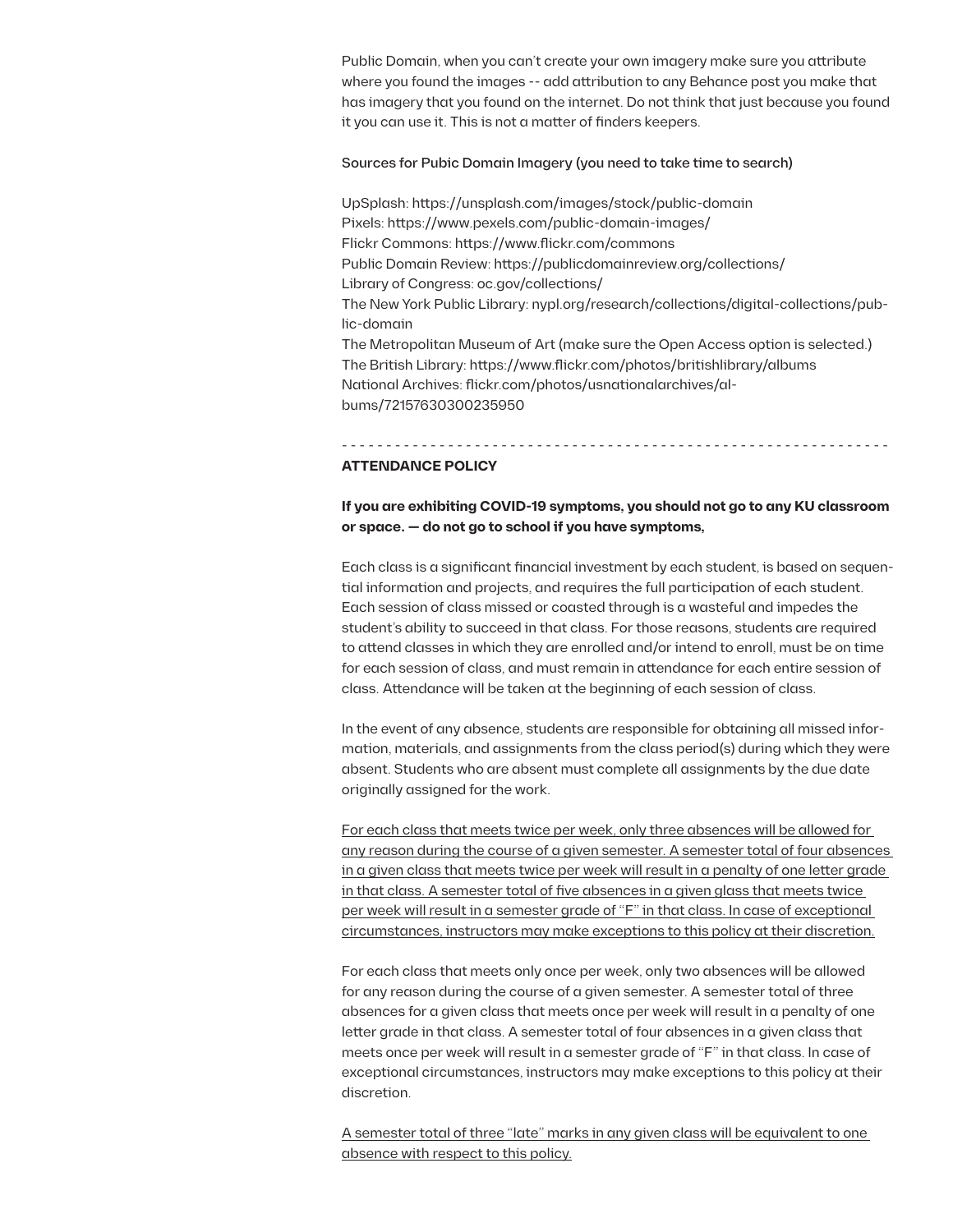Public Domain, when you can't create your own imagery make sure you attribute where you found the images -- add attribution to any Behance post you make that has imagery that you found on the internet. Do not think that just because you found it you can use it. This is not a matter of finders keepers.

# Sources for Pubic Domain Imagery (you need to take time to search)

UpSplash: https://unsplash.com/images/stock/public-domain Pixels: https://www.pexels.com/public-domain-images/ Flickr Commons: https://www.flickr.com/commons Public Domain Review: https://publicdomainreview.org/collections/ Library of Congress: oc.gov/collections/ The New York Public Library: nypl.org/research/collections/digital-collections/public-domain The Metropolitan Museum of Art (make sure the Open Access option is selected.) The British Library: https://www.flickr.com/photos/britishlibrary/albums National Archives: flickr.com/photos/usnationalarchives/albums/72157630300235950

- - - - - - - - - - - - - - - - - - - - - - - - - - - - - - - - - - - - - - - - - - - - - - - - - - - - - - - - - - - - - -

# **ATTENDANCE POLICY**

# **If you are exhibiting COVID-19 symptoms, you should not go to any KU classroom or space. — do not go to school if you have symptoms,**

Each class is a significant financial investment by each student, is based on sequential information and projects, and requires the full participation of each student. Each session of class missed or coasted through is a wasteful and impedes the student's ability to succeed in that class. For those reasons, students are required to attend classes in which they are enrolled and/or intend to enroll, must be on time for each session of class, and must remain in attendance for each entire session of class. Attendance will be taken at the beginning of each session of class.

In the event of any absence, students are responsible for obtaining all missed information, materials, and assignments from the class period(s) during which they were absent. Students who are absent must complete all assignments by the due date originally assigned for the work.

For each class that meets twice per week, only three absences will be allowed for any reason during the course of a given semester. A semester total of four absences in a given class that meets twice per week will result in a penalty of one letter grade in that class. A semester total of five absences in a given glass that meets twice per week will result in a semester grade of "F" in that class. In case of exceptional circumstances, instructors may make exceptions to this policy at their discretion.

For each class that meets only once per week, only two absences will be allowed for any reason during the course of a given semester. A semester total of three absences for a given class that meets once per week will result in a penalty of one letter grade in that class. A semester total of four absences in a given class that meets once per week will result in a semester grade of "F" in that class. In case of exceptional circumstances, instructors may make exceptions to this policy at their discretion.

A semester total of three "late" marks in any given class will be equivalent to one absence with respect to this policy.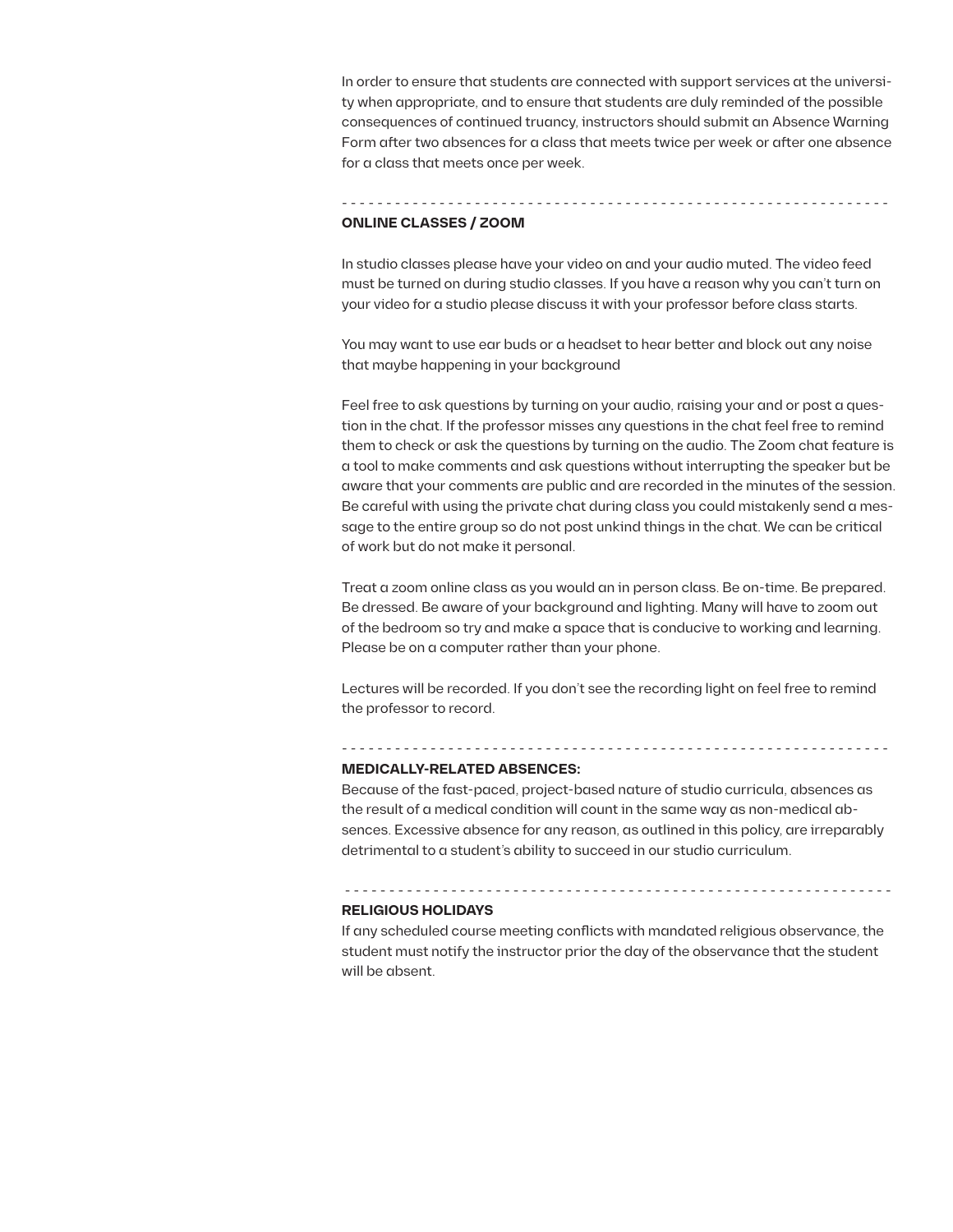In order to ensure that students are connected with support services at the university when appropriate, and to ensure that students are duly reminded of the possible consequences of continued truancy, instructors should submit an Absence Warning Form after two absences for a class that meets twice per week or after one absence for a class that meets once per week.

## **ONLINE CLASSES / ZOOM**

In studio classes please have your video on and your audio muted. The video feed must be turned on during studio classes. If you have a reason why you can't turn on your video for a studio please discuss it with your professor before class starts.

- - - - - - - - - - - - - - - - - - - - - - - - - - - - - - - - - - - - - - - - - - - - - - - - - - - - - - - - - - - - - -

You may want to use ear buds or a headset to hear better and block out any noise that maybe happening in your background

Feel free to ask questions by turning on your audio, raising your and or post a question in the chat. If the professor misses any questions in the chat feel free to remind them to check or ask the questions by turning on the audio. The Zoom chat feature is a tool to make comments and ask questions without interrupting the speaker but be aware that your comments are public and are recorded in the minutes of the session. Be careful with using the private chat during class you could mistakenly send a message to the entire group so do not post unkind things in the chat. We can be critical of work but do not make it personal.

Treat a zoom online class as you would an in person class. Be on-time. Be prepared. Be dressed. Be aware of your background and lighting. Many will have to zoom out of the bedroom so try and make a space that is conducive to working and learning. Please be on a computer rather than your phone.

Lectures will be recorded. If you don't see the recording light on feel free to remind the professor to record.

- - - - - - - - - - - - - - - - - - - - - - - - - - - - - - - - - - - - - - - - - - - - - - - - - - - - - - - - - - - - - - **MEDICALLY-RELATED ABSENCES:**

Because of the fast-paced, project-based nature of studio curricula, absences as the result of a medical condition will count in the same way as non-medical absences. Excessive absence for any reason, as outlined in this policy, are irreparably detrimental to a student's ability to succeed in our studio curriculum.

### **RELIGIOUS HOLIDAYS**

If any scheduled course meeting conflicts with mandated religious observance, the student must notify the instructor prior the day of the observance that the student will be absent.

- - - - - - - - - - - - - - - - - - - - - - - - - - - - - - - - - - - - - - - - - - - - - - - - - - - - - - - - - - - - - -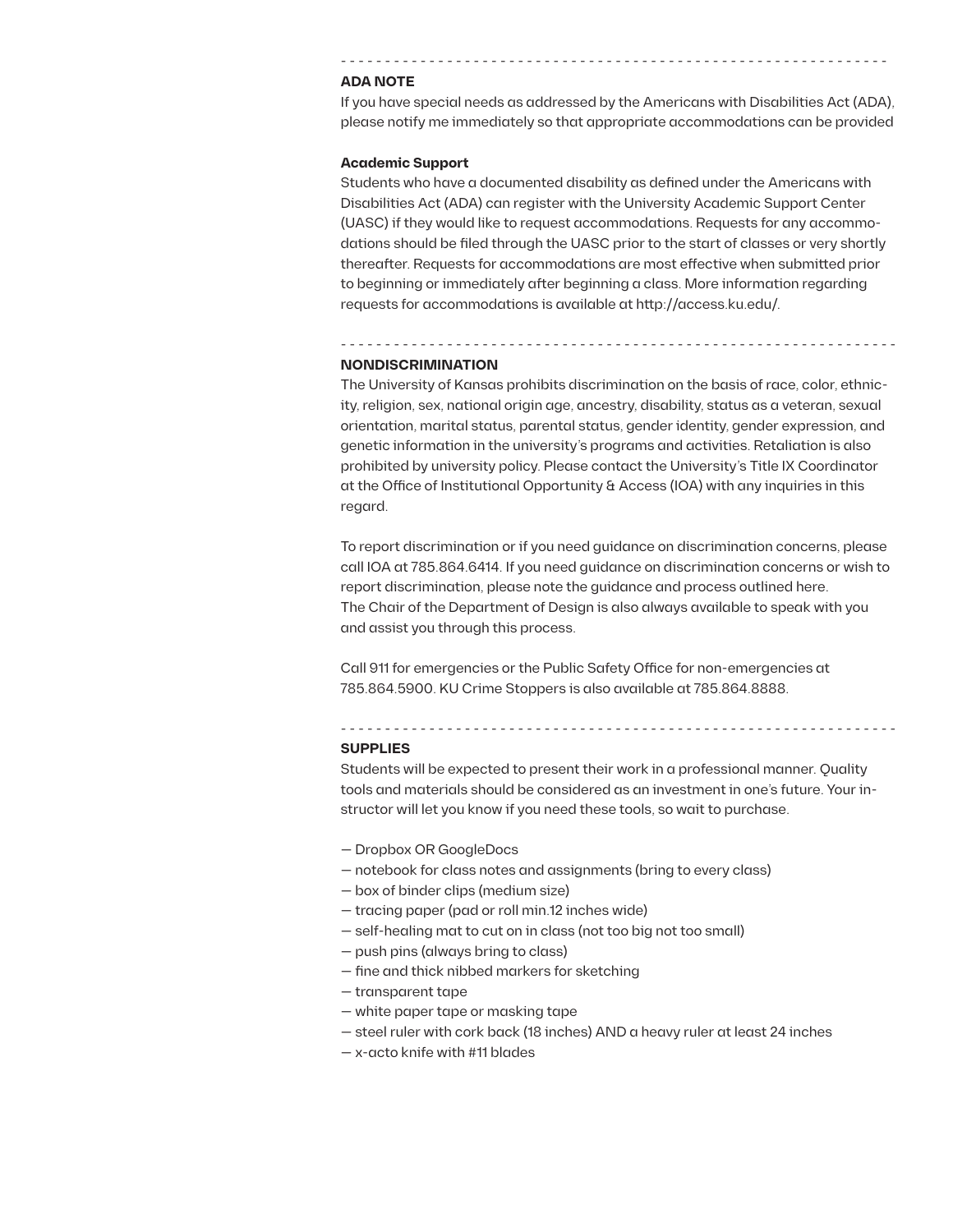### **ADA NOTE**

If you have special needs as addressed by the Americans with Disabilities Act (ADA), please notify me immediately so that appropriate accommodations can be provided

- - - - - - - - - - - - - - - - - - - - - - - - - - - - - - - - - - - - - - - - - - - - - - - - - - - - - - - - - - - - - -

### **Academic Support**

Students who have a documented disability as defined under the Americans with Disabilities Act (ADA) can register with the University Academic Support Center (UASC) if they would like to request accommodations. Requests for any accommodations should be filed through the UASC prior to the start of classes or very shortly thereafter. Requests for accommodations are most effective when submitted prior to beginning or immediately after beginning a class. More information regarding requests for accommodations is available at http://access.ku.edu/.

### **NONDISCRIMINATION**

The University of Kansas prohibits discrimination on the basis of race, color, ethnicity, religion, sex, national origin age, ancestry, disability, status as a veteran, sexual orientation, marital status, parental status, gender identity, gender expression, and genetic information in the university's programs and activities. Retaliation is also prohibited by university policy. Please contact the University's Title IX Coordinator at the Office of Institutional Opportunity & Access (IOA) with any inquiries in this regard.

- - - - - - - - - - - - - - - - - - - - - - - - - - - - - - - - - - - - - - - - - - - - - - - - - - - - - - - - - - - - - - -

To report discrimination or if you need guidance on discrimination concerns, please call IOA at 785.864.6414. If you need guidance on discrimination concerns or wish to report discrimination, please note the guidance and process outlined here. The Chair of the Department of Design is also always available to speak with you and assist you through this process.

Call 911 for emergencies or the Public Safety Office for non-emergencies at 785.864.5900. KU Crime Stoppers is also available at 785.864.8888.

### **SUPPLIES**

Students will be expected to present their work in a professional manner. Quality tools and materials should be considered as an investment in one's future. Your instructor will let you know if you need these tools, so wait to purchase.

— Dropbox OR GoogleDocs

- - - - - - - - - - - - - - - - - - - - - - - - - - - - - - - - - - - - - - - - - - - - - - - - - - - - - - - - - - - - - - -

- notebook for class notes and assignments (bring to every class)
- box of binder clips (medium size)
- tracing paper (pad or roll min.12 inches wide)
- self-healing mat to cut on in class (not too big not too small)
- push pins (always bring to class)
- fine and thick nibbed markers for sketching
- transparent tape
- white paper tape or masking tape
- steel ruler with cork back (18 inches) AND a heavy ruler at least 24 inches
- x-acto knife with #11 blades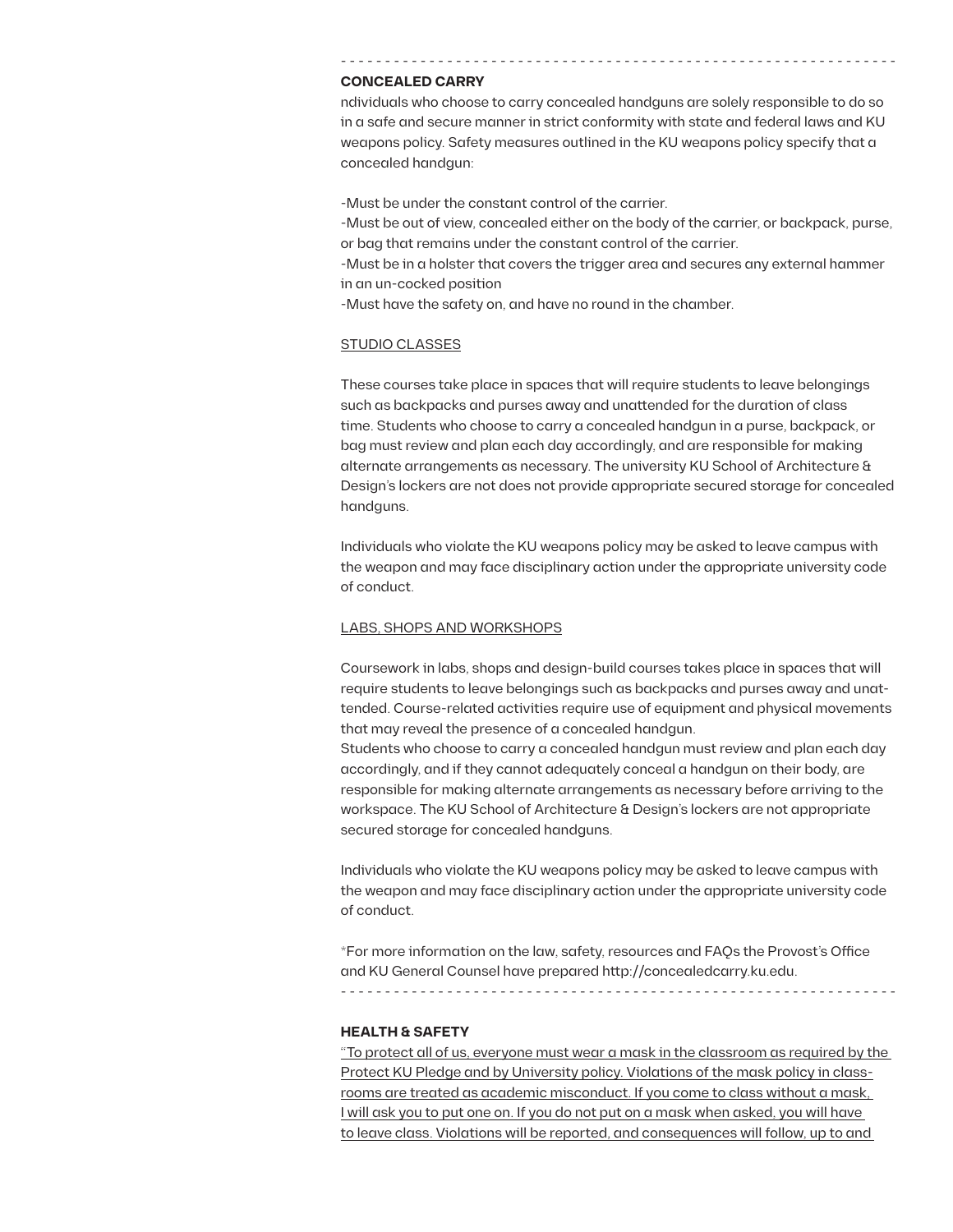### **CONCEALED CARRY**

ndividuals who choose to carry concealed handguns are solely responsible to do so in a safe and secure manner in strict conformity with state and federal laws and KU weapons policy. Safety measures outlined in the KU weapons policy specify that a concealed handgun:

- - - - - - - - - - - - - - - - - - - - - - - - - - - - - - - - - - - - - - - - - - - - - - - - - - - - - - - - - - - - - - -

-Must be under the constant control of the carrier.

-Must be out of view, concealed either on the body of the carrier, or backpack, purse, or bag that remains under the constant control of the carrier.

-Must be in a holster that covers the trigger area and secures any external hammer in an un-cocked position

-Must have the safety on, and have no round in the chamber.

## STUDIO CLASSES

These courses take place in spaces that will require students to leave belongings such as backpacks and purses away and unattended for the duration of class time. Students who choose to carry a concealed handgun in a purse, backpack, or bag must review and plan each day accordingly, and are responsible for making alternate arrangements as necessary. The university KU School of Architecture & Design's lockers are not does not provide appropriate secured storage for concealed handguns.

Individuals who violate the KU weapons policy may be asked to leave campus with the weapon and may face disciplinary action under the appropriate university code of conduct.

### LABS, SHOPS AND WORKSHOPS

Coursework in labs, shops and design-build courses takes place in spaces that will require students to leave belongings such as backpacks and purses away and unattended. Course-related activities require use of equipment and physical movements that may reveal the presence of a concealed handgun.

Students who choose to carry a concealed handgun must review and plan each day accordingly, and if they cannot adequately conceal a handgun on their body, are responsible for making alternate arrangements as necessary before arriving to the workspace. The KU School of Architecture & Design's lockers are not appropriate secured storage for concealed handguns.

Individuals who violate the KU weapons policy may be asked to leave campus with the weapon and may face disciplinary action under the appropriate university code of conduct.

\*For more information on the law, safety, resources and FAQs the Provost's Office and KU General Counsel have prepared http://concealedcarry.ku.edu. - - - - - - - - - - - - - - - - - - - - - - - - - - - - - - - - - - - - - - - - - - - - - - - - - - - - - - - - - - - - - - -

## **HEALTH & SAFETY**

"To protect all of us, everyone must wear a mask in the classroom as required by the Protect KU Pledge and by University policy. Violations of the mask policy in classrooms are treated as academic misconduct. If you come to class without a mask, I will ask you to put one on. If you do not put on a mask when asked, you will have to leave class. Violations will be reported, and consequences will follow, up to and